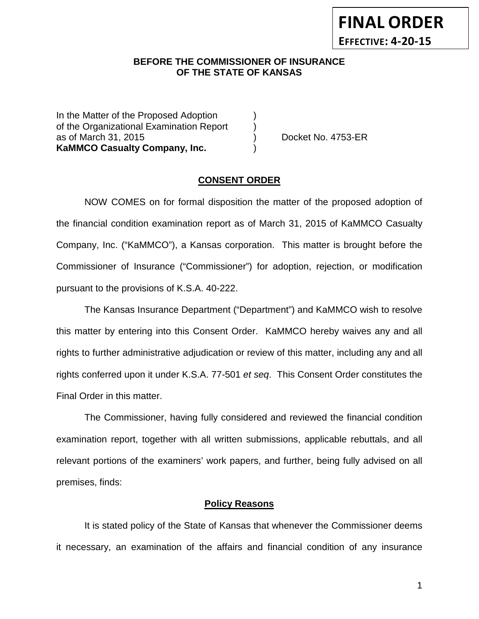#### **BEFORE THE COMMISSIONER OF INSURANCE OF THE STATE OF KANSAS**

In the Matter of the Proposed Adoption of the Organizational Examination Report ) as of March 31, 2015 ) Docket No. 4753-ER **KaMMCO Casualty Company, Inc.** )

#### **CONSENT ORDER**

NOW COMES on for formal disposition the matter of the proposed adoption of the financial condition examination report as of March 31, 2015 of KaMMCO Casualty Company, Inc. ("KaMMCO"), a Kansas corporation. This matter is brought before the Commissioner of Insurance ("Commissioner") for adoption, rejection, or modification pursuant to the provisions of K.S.A. 40-222.

The Kansas Insurance Department ("Department") and KaMMCO wish to resolve this matter by entering into this Consent Order. KaMMCO hereby waives any and all rights to further administrative adjudication or review of this matter, including any and all rights conferred upon it under K.S.A. 77-501 *et seq*. This Consent Order constitutes the Final Order in this matter.

The Commissioner, having fully considered and reviewed the financial condition examination report, together with all written submissions, applicable rebuttals, and all relevant portions of the examiners' work papers, and further, being fully advised on all premises, finds:

#### **Policy Reasons**

It is stated policy of the State of Kansas that whenever the Commissioner deems it necessary, an examination of the affairs and financial condition of any insurance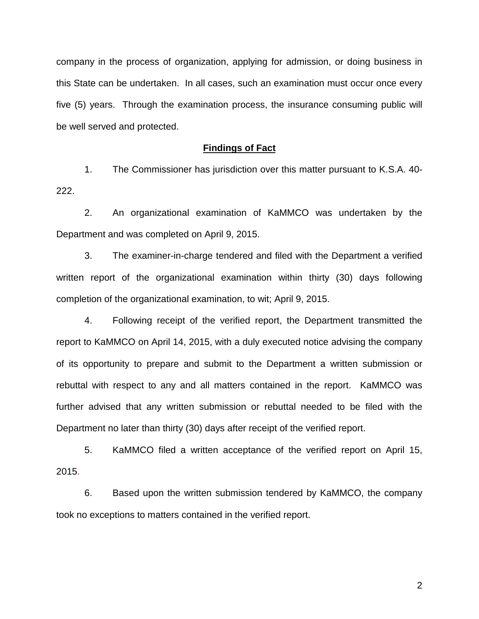company in the process of organization, applying for admission, or doing business in this State can be undertaken. In all cases, such an examination must occur once every five (5) years. Through the examination process, the insurance consuming public will be well served and protected.

#### **Findings of Fact**

1. The Commissioner has jurisdiction over this matter pursuant to K.S.A. 40- 222.

2. An organizational examination of KaMMCO was undertaken by the Department and was completed on April 9, 2015.

3. The examiner-in-charge tendered and filed with the Department a verified written report of the organizational examination within thirty (30) days following completion of the organizational examination, to wit; April 9, 2015.

4. Following receipt of the verified report, the Department transmitted the report to KaMMCO on April 14, 2015, with a duly executed notice advising the company of its opportunity to prepare and submit to the Department a written submission or rebuttal with respect to any and all matters contained in the report. KaMMCO was further advised that any written submission or rebuttal needed to be filed with the Department no later than thirty (30) days after receipt of the verified report.

5. KaMMCO filed a written acceptance of the verified report on April 15, 2015.

6. Based upon the written submission tendered by KaMMCO, the company took no exceptions to matters contained in the verified report.

2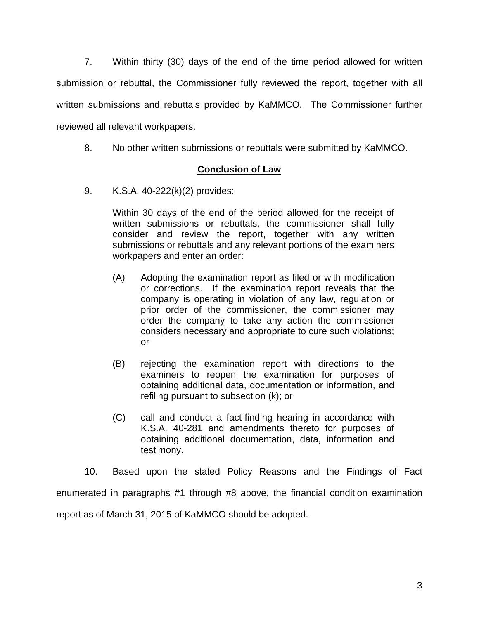7. Within thirty (30) days of the end of the time period allowed for written submission or rebuttal, the Commissioner fully reviewed the report, together with all written submissions and rebuttals provided by KaMMCO. The Commissioner further reviewed all relevant workpapers.

8. No other written submissions or rebuttals were submitted by KaMMCO.

## **Conclusion of Law**

9. K.S.A. 40-222(k)(2) provides:

Within 30 days of the end of the period allowed for the receipt of written submissions or rebuttals, the commissioner shall fully consider and review the report, together with any written submissions or rebuttals and any relevant portions of the examiners workpapers and enter an order:

- (A) Adopting the examination report as filed or with modification or corrections. If the examination report reveals that the company is operating in violation of any law, regulation or prior order of the commissioner, the commissioner may order the company to take any action the commissioner considers necessary and appropriate to cure such violations; or
- (B) rejecting the examination report with directions to the examiners to reopen the examination for purposes of obtaining additional data, documentation or information, and refiling pursuant to subsection (k); or
- (C) call and conduct a fact-finding hearing in accordance with K.S.A. 40-281 and amendments thereto for purposes of obtaining additional documentation, data, information and testimony.

10. Based upon the stated Policy Reasons and the Findings of Fact enumerated in paragraphs #1 through #8 above, the financial condition examination report as of March 31, 2015 of KaMMCO should be adopted.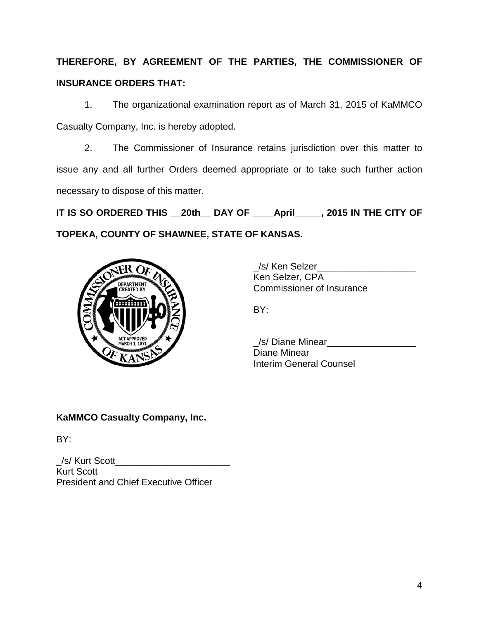# **THEREFORE, BY AGREEMENT OF THE PARTIES, THE COMMISSIONER OF INSURANCE ORDERS THAT:**

1. The organizational examination report as of March 31, 2015 of KaMMCO Casualty Company, Inc. is hereby adopted.

2. The Commissioner of Insurance retains jurisdiction over this matter to issue any and all further Orders deemed appropriate or to take such further action necessary to dispose of this matter.

**IT IS SO ORDERED THIS \_\_20th\_\_ DAY OF \_\_\_\_April\_\_\_\_\_, 2015 IN THE CITY OF TOPEKA, COUNTY OF SHAWNEE, STATE OF KANSAS.**



\_/s/ Ken Selzer\_\_\_\_\_\_\_\_\_\_\_\_\_\_\_\_\_\_\_ Ken Selzer, CPA Commissioner of Insurance

BY:

\_/s/ Diane Minear\_\_\_\_\_\_\_\_\_\_\_\_\_\_\_\_\_ Diane Minear Interim General Counsel

## **KaMMCO Casualty Company, Inc.**

BY:

\_/s/ Kurt Scott\_\_\_\_\_\_\_\_\_\_\_\_\_\_\_\_\_\_\_\_\_\_ Kurt Scott President and Chief Executive Officer